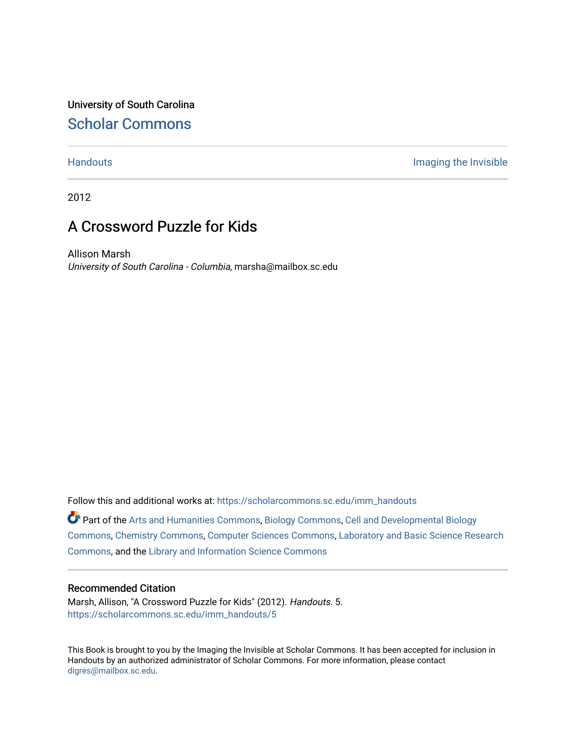University of South Carolina [Scholar Commons](https://scholarcommons.sc.edu/) 

[Handouts](https://scholarcommons.sc.edu/imm_handouts) **Imaging the Invisible** 

2012

## A Crossword Puzzle for Kids

Allison Marsh University of South Carolina - Columbia, marsha@mailbox.sc.edu

Follow this and additional works at: [https://scholarcommons.sc.edu/imm\\_handouts](https://scholarcommons.sc.edu/imm_handouts?utm_source=scholarcommons.sc.edu%2Fimm_handouts%2F5&utm_medium=PDF&utm_campaign=PDFCoverPages)

Part of the [Arts and Humanities Commons,](http://network.bepress.com/hgg/discipline/438?utm_source=scholarcommons.sc.edu%2Fimm_handouts%2F5&utm_medium=PDF&utm_campaign=PDFCoverPages) [Biology Commons,](http://network.bepress.com/hgg/discipline/41?utm_source=scholarcommons.sc.edu%2Fimm_handouts%2F5&utm_medium=PDF&utm_campaign=PDFCoverPages) [Cell and Developmental Biology](http://network.bepress.com/hgg/discipline/8?utm_source=scholarcommons.sc.edu%2Fimm_handouts%2F5&utm_medium=PDF&utm_campaign=PDFCoverPages)  [Commons](http://network.bepress.com/hgg/discipline/8?utm_source=scholarcommons.sc.edu%2Fimm_handouts%2F5&utm_medium=PDF&utm_campaign=PDFCoverPages), [Chemistry Commons](http://network.bepress.com/hgg/discipline/131?utm_source=scholarcommons.sc.edu%2Fimm_handouts%2F5&utm_medium=PDF&utm_campaign=PDFCoverPages), [Computer Sciences Commons,](http://network.bepress.com/hgg/discipline/142?utm_source=scholarcommons.sc.edu%2Fimm_handouts%2F5&utm_medium=PDF&utm_campaign=PDFCoverPages) [Laboratory and Basic Science Research](http://network.bepress.com/hgg/discipline/812?utm_source=scholarcommons.sc.edu%2Fimm_handouts%2F5&utm_medium=PDF&utm_campaign=PDFCoverPages)  [Commons](http://network.bepress.com/hgg/discipline/812?utm_source=scholarcommons.sc.edu%2Fimm_handouts%2F5&utm_medium=PDF&utm_campaign=PDFCoverPages), and the [Library and Information Science Commons](http://network.bepress.com/hgg/discipline/1018?utm_source=scholarcommons.sc.edu%2Fimm_handouts%2F5&utm_medium=PDF&utm_campaign=PDFCoverPages) 

### Recommended Citation

Marsh, Allison, "A Crossword Puzzle for Kids" (2012). Handouts. 5. [https://scholarcommons.sc.edu/imm\\_handouts/5](https://scholarcommons.sc.edu/imm_handouts/5?utm_source=scholarcommons.sc.edu%2Fimm_handouts%2F5&utm_medium=PDF&utm_campaign=PDFCoverPages)

This Book is brought to you by the Imaging the Invisible at Scholar Commons. It has been accepted for inclusion in Handouts by an authorized administrator of Scholar Commons. For more information, please contact [digres@mailbox.sc.edu](mailto:digres@mailbox.sc.edu).